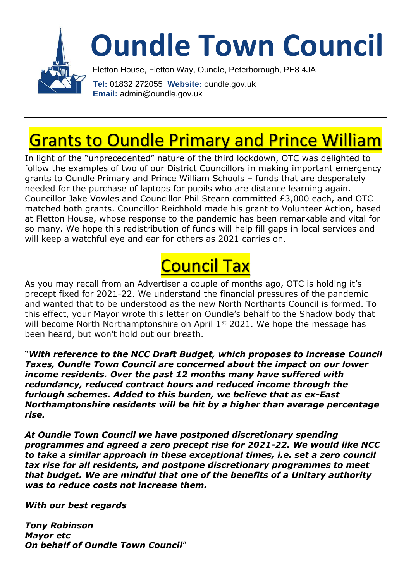

#### Grants to Oundle Primary and Prince William

In light of the "unprecedented" nature of the third lockdown, OTC was delighted to follow the examples of two of our District Councillors in making important emergency grants to Oundle Primary and Prince William Schools – funds that are desperately needed for the purchase of laptops for pupils who are distance learning again. Councillor Jake Vowles and Councillor Phil Stearn committed £3,000 each, and OTC matched both grants. Councillor Reichhold made his grant to Volunteer Action, based at Fletton House, whose response to the pandemic has been remarkable and vital for so many. We hope this redistribution of funds will help fill gaps in local services and will keep a watchful eye and ear for others as 2021 carries on.

# Council Tax

As you may recall from an Advertiser a couple of months ago, OTC is holding it's precept fixed for 2021-22. We understand the financial pressures of the pandemic and wanted that to be understood as the new North Northants Council is formed. To this effect, your Mayor wrote this letter on Oundle's behalf to the Shadow body that will become North Northamptonshire on April 1<sup>st</sup> 2021. We hope the message has been heard, but won't hold out our breath.

"*With reference to the NCC Draft Budget, which proposes to increase Council Taxes, Oundle Town Council are concerned about the impact on our lower income residents. Over the past 12 months many have suffered with redundancy, reduced contract hours and reduced income through the furlough schemes. Added to this burden, we believe that as ex-East Northamptonshire residents will be hit by a higher than average percentage rise.*

*At Oundle Town Council we have postponed discretionary spending programmes and agreed a zero precept rise for 2021-22. We would like NCC to take a similar approach in these exceptional times, i.e. set a zero council tax rise for all residents, and postpone discretionary programmes to meet that budget. We are mindful that one of the benefits of a Unitary authority was to reduce costs not increase them.*

*With our best regards*

*Tony Robinson Mayor etc On behalf of Oundle Town Council*"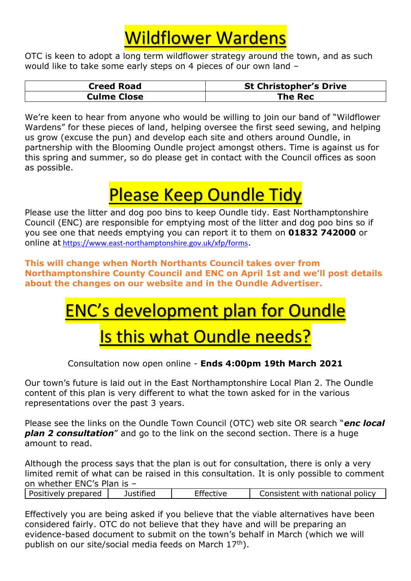### Wildflower Wardens

OTC is keen to adopt a long term wildflower strategy around the town, and as such would like to take some early steps on 4 pieces of our own land –

| <b>Creed Road</b> | <b>St Christopher's Drive</b> |
|-------------------|-------------------------------|
| Culme Close       | The Rec                       |

We're keen to hear from anyone who would be willing to join our band of "Wildflower Wardens" for these pieces of land, helping oversee the first seed sewing, and helping us grow (excuse the pun) and develop each site and others around Oundle, in partnership with the Blooming Oundle project amongst others. Time is against us for this spring and summer, so do please get in contact with the Council offices as soon as possible.

# Please Keep Oundle Tidy

Please use the litter and dog poo bins to keep Oundle tidy. East Northamptonshire Council (ENC) are responsible for emptying most of the litter and dog poo bins so if you see one that needs emptying you can report it to them on **01832 742000** or online at <https://www.east-northamptonshire.gov.uk/xfp/forms>.

**This will change when North Northants Council takes over from Northamptonshire County Council and ENC on April 1st and we'll post details about the changes on our website and in the Oundle Advertiser.**

## ENC's development plan for Oundle

#### **Is this what Oundle needs?**

Consultation now open online - **Ends 4:00pm 19th March 2021**

Our town's future is laid out in the East Northamptonshire Local Plan 2. The Oundle content of this plan is very different to what the town asked for in the various representations over the past 3 years.

Please see the links on the Oundle Town Council (OTC) web site OR search "*enc local plan 2 consultation*" and go to the link on the second section. There is a huge amount to read.

Although the process says that the plan is out for consultation, there is only a very limited remit of what can be raised in this consultation. It is only possible to comment on whether ENC's Plan is – ⅂

| Positively prepared | Justified | Effective | Consistent with national policy |
|---------------------|-----------|-----------|---------------------------------|
|                     |           |           |                                 |

Effectively you are being asked if you believe that the viable alternatives have been considered fairly. OTC do not believe that they have and will be preparing an evidence-based document to submit on the town's behalf in March (which we will publish on our site/social media feeds on March 17<sup>th</sup>).